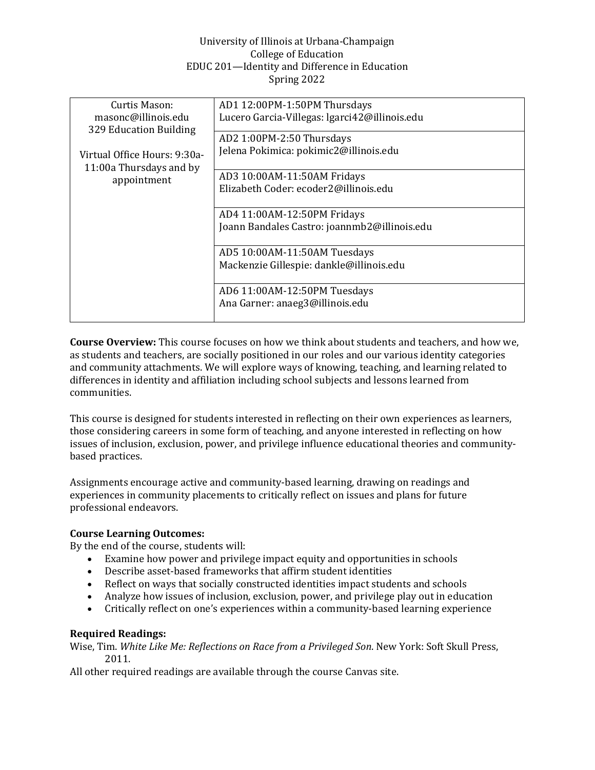# University of Illinois at Urbana-Champaign College of Education EDUC 201—Identity and Difference in Education Spring 2022

| Curtis Mason:                | AD1 12:00PM-1:50PM Thursdays                  |  |
|------------------------------|-----------------------------------------------|--|
|                              |                                               |  |
| masonc@illinois.edu          | Lucero Garcia-Villegas: Igarci42@illinois.edu |  |
| 329 Education Building       |                                               |  |
|                              | AD2 1:00PM-2:50 Thursdays                     |  |
| Virtual Office Hours: 9:30a- | Jelena Pokimica: pokimic2@illinois.edu        |  |
|                              |                                               |  |
| 11:00a Thursdays and by      | AD3 10:00AM-11:50AM Fridays                   |  |
| appointment                  |                                               |  |
|                              | Elizabeth Coder: ecoder2@illinois.edu         |  |
|                              |                                               |  |
|                              | AD4 11:00AM-12:50PM Fridays                   |  |
|                              | Joann Bandales Castro: joannmb2@illinois.edu  |  |
|                              |                                               |  |
|                              | AD5 10:00AM-11:50AM Tuesdays                  |  |
|                              |                                               |  |
|                              | Mackenzie Gillespie: dankle@illinois.edu      |  |
|                              |                                               |  |
|                              | AD6 11:00AM-12:50PM Tuesdays                  |  |
|                              | Ana Garner: anaeg3@illinois.edu               |  |
|                              |                                               |  |
|                              |                                               |  |

**Course Overview:** This course focuses on how we think about students and teachers, and how we, as students and teachers, are socially positioned in our roles and our various identity categories and community attachments. We will explore ways of knowing, teaching, and learning related to differences in identity and affiliation including school subjects and lessons learned from communities.

This course is designed for students interested in reflecting on their own experiences as learners, those considering careers in some form of teaching, and anyone interested in reflecting on how issues of inclusion, exclusion, power, and privilege influence educational theories and communitybased practices.

Assignments encourage active and community-based learning, drawing on readings and experiences in community placements to critically reflect on issues and plans for future professional endeavors.

# **Course Learning Outcomes:**

By the end of the course, students will:

- Examine how power and privilege impact equity and opportunities in schools
- Describe asset-based frameworks that affirm student identities
- Reflect on ways that socially constructed identities impact students and schools
- Analyze how issues of inclusion, exclusion, power, and privilege play out in education
- Critically reflect on one's experiences within a community-based learning experience

# **Required Readings:**

Wise, Tim. *White Like Me: Reflections on Race from a Privileged Son*. New York: Soft Skull Press, 2011.

All other required readings are available through the course Canvas site.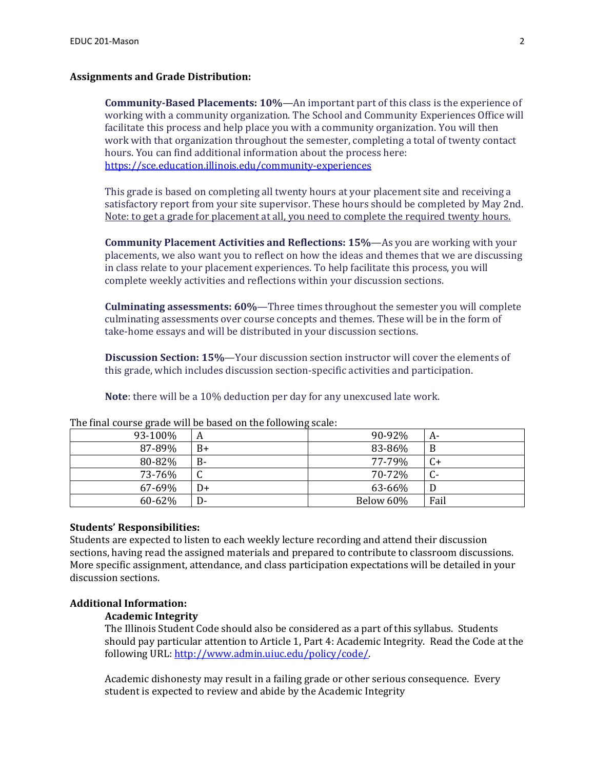## **Assignments and Grade Distribution:**

**Community-Based Placements: 10%**—An important part of this class is the experience of working with a community organization. The School and Community Experiences Office will facilitate this process and help place you with a community organization. You will then work with that organization throughout the semester, completing a total of twenty contact hours. You can find additional information about the process here: <https://sce.education.illinois.edu/community-experiences>

This grade is based on completing all twenty hours at your placement site and receiving a satisfactory report from your site supervisor. These hours should be completed by May 2nd. Note: to get a grade for placement at all, you need to complete the required twenty hours.

**Community Placement Activities and Reflections: 15%**—As you are working with your placements, we also want you to reflect on how the ideas and themes that we are discussing in class relate to your placement experiences. To help facilitate this process, you will complete weekly activities and reflections within your discussion sections.

**Culminating assessments: 60%**—Three times throughout the semester you will complete culminating assessments over course concepts and themes. These will be in the form of take-home essays and will be distributed in your discussion sections.

**Discussion Section: 15%**—Your discussion section instructor will cover the elements of this grade, which includes discussion section-specific activities and participation.

**Note**: there will be a 10% deduction per day for any unexcused late work.

| 93-100% | A          | 90-92%    | A-   |
|---------|------------|-----------|------|
| 87-89%  | $B+$       | 83-86%    | B    |
| 80-82%  | $B -$      | 77-79%    | C+   |
| 73-76%  | $\sqrt{ }$ | 70-72%    |      |
| 67-69%  | D+         | 63-66%    |      |
| 60-62%  | $D -$      | Below 60% | Fail |

The final course grade will be based on the following scale:

## **Students' Responsibilities:**

Students are expected to listen to each weekly lecture recording and attend their discussion sections, having read the assigned materials and prepared to contribute to classroom discussions. More specific assignment, attendance, and class participation expectations will be detailed in your discussion sections.

# **Additional Information:**

#### **Academic Integrity**

The Illinois Student Code should also be considered as a part of this syllabus. Students should pay particular attention to Article 1, Part 4: Academic Integrity. Read the Code at the following URL: [http://www.admin.uiuc.edu/policy/code/.](http://www.admin.uiuc.edu/policy/code/) 

Academic dishonesty may result in a failing grade or other serious consequence. Every student is expected to review and abide by the Academic Integrity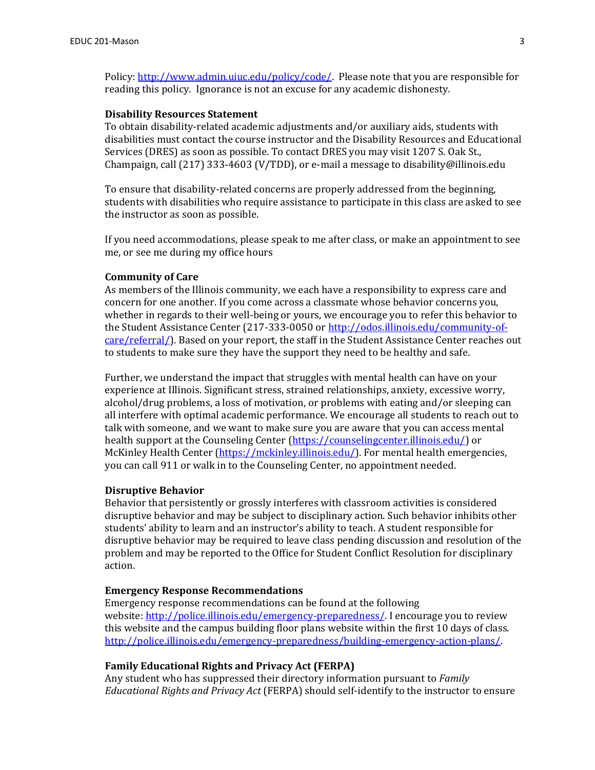Policy: [http://www.admin.uiuc.edu/policy/code/.](https://urldefense.proofpoint.com/v2/url?u=http-3A__www.admin.uiuc.edu_policy_code_&d=DwMGaQ&c=Y6HT0gyZH_Z4ZSRJdNYJeQ&r=z60HDr03hwhFdB0OcLTYWGKRzUcA6XfQy82SxbVQC08&m=O6OUTJYoIZIihyWz6SbkNBq1a844pKn3dgzyxPzut8U&s=xZbPGkIit5sH6MinBQGU9FqF1OsaJDzsaoanTGIPIE0&e=) Please note that you are responsible for reading this policy. Ignorance is not an excuse for any academic dishonesty.

#### **Disability Resources Statement**

To obtain disability-related academic adjustments and/or auxiliary aids, students with disabilities must contact the course instructor and the Disability Resources and Educational Services (DRES) as soon as possible. To contact DRES you may visit 1207 S. Oak St., Champaign, call (217) 333-4603 (V/TDD), or e-mail a message to disability@illinois.edu

To ensure that disability-related concerns are properly addressed from the beginning, students with disabilities who require assistance to participate in this class are asked to see the instructor as soon as possible.

If you need accommodations, please speak to me after class, or make an appointment to see me, or see me during my office hours

#### **Community of Care**

As members of the Illinois community, we each have a responsibility to express care and concern for one another. If you come across a classmate whose behavior concerns you, whether in regards to their well-being or yours, we encourage you to refer this behavior to the Student Assistance Center (217-333-0050 or [http://odos.illinois.edu/community-of](http://odos.illinois.edu/community-of-care/referral/)[care/referral/\)](http://odos.illinois.edu/community-of-care/referral/). Based on your report, the staff in the Student Assistance Center reaches out to students to make sure they have the support they need to be healthy and safe.

Further, we understand the impact that struggles with mental health can have on your experience at Illinois. Significant stress, strained relationships, anxiety, excessive worry, alcohol/drug problems, a loss of motivation, or problems with eating and/or sleeping can all interfere with optimal academic performance. We encourage all students to reach out to talk with someone, and we want to make sure you are aware that you can access mental health support at the Counseling Center [\(https://counselingcenter.illinois.edu/\)](https://counselingcenter.illinois.edu/) or McKinley Health Center [\(https://mckinley.illinois.edu/\)](https://mckinley.illinois.edu/). For mental health emergencies, you can call 911 or walk in to the Counseling Center, no appointment needed.

#### **Disruptive Behavior**

Behavior that persistently or grossly interferes with classroom activities is considered disruptive behavior and may be subject to disciplinary action. Such behavior inhibits other students' ability to learn and an instructor's ability to teach. A student responsible for disruptive behavior may be required to leave class pending discussion and resolution of the problem and may be reported to the Office for Student Conflict Resolution for disciplinary action.

#### **Emergency Response Recommendations**

Emergency response recommendations can be found at the following website: [http://police.illinois.edu/emergency-preparedness/.](http://police.illinois.edu/emergency-preparedness/) I encourage you to review this website and the campus building floor plans website within the first 10 days of class. [http://police.illinois.edu/emergency-preparedness/building-emergency-action-plans/.](http://police.illinois.edu/emergency-preparedness/building-emergency-action-plans/) 

## **Family Educational Rights and Privacy Act (FERPA)**

Any student who has suppressed their directory information pursuant to *Family Educational Rights and Privacy Act* (FERPA) should self-identify to the instructor to ensure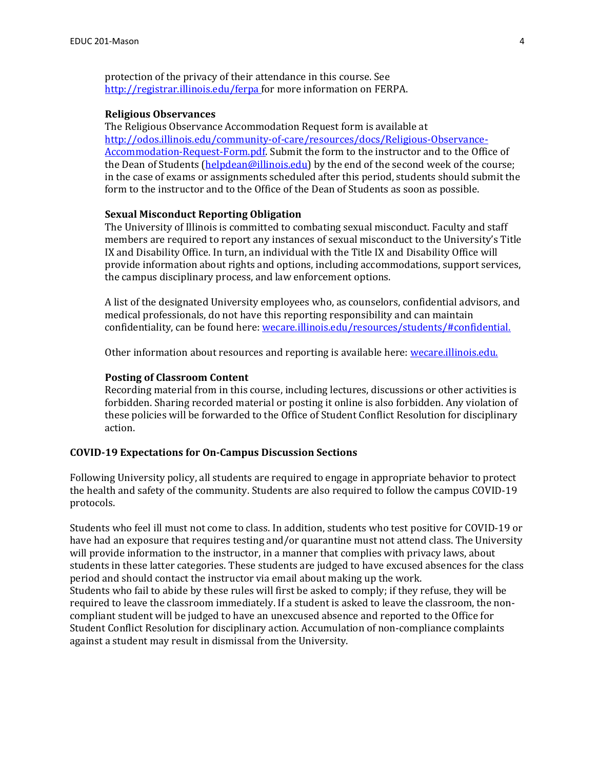protection of the privacy of their attendance in this course. See [http://registrar.illinois.edu/ferpa f](http://registrar.illinois.edu/ferpa)or more information on FERPA.

## **Religious Observances**

The Religious Observance Accommodation Request form is available at [http://odos.illinois.edu/community-of-care/resources/docs/Religious-Observance-](http://odos.illinois.edu/community-of-care/resources/docs/Religious-Observance-Accommodation-Request-Form.pdf)[Accommodation-Request-Form.pdf.](http://odos.illinois.edu/community-of-care/resources/docs/Religious-Observance-Accommodation-Request-Form.pdf) Submit the form to the instructor and to the Office of the Dean of Students [\(helpdean@illinois.edu\)](mailto:helpdean@illinois.edu) by the end of the second week of the course; in the case of exams or assignments scheduled after this period, students should submit the form to the instructor and to the Office of the Dean of Students as soon as possible.

## **Sexual Misconduct Reporting Obligation**

The University of Illinois is committed to combating sexual misconduct. Faculty and staff members are required to report any instances of sexual misconduct to the University's Title IX and Disability Office. In turn, an individual with the Title IX and Disability Office will provide information about rights and options, including accommodations, support services, the campus disciplinary process, and law enforcement options.

A list of the designated University employees who, as counselors, confidential advisors, and medical professionals, do not have this reporting responsibility and can maintain confidentiality, can be found here: [wecare.illinois.edu/resources/students/#confidential.](http://www.wecare.illinois.edu/resources/students/#confidential)

Other information about resources and reporting is available here: [wecare.illinois.edu.](http://www.wecare.illinois.edu/)

#### **Posting of Classroom Content**

Recording material from in this course, including lectures, discussions or other activities is forbidden. Sharing recorded material or posting it online is also forbidden. Any violation of these policies will be forwarded to the Office of Student Conflict Resolution for disciplinary action.

#### **COVID-19 Expectations for On-Campus Discussion Sections**

Following University policy, all students are required to engage in appropriate behavior to protect the health and safety of the community. Students are also required to follow the campus COVID-19 protocols.

Students who feel ill must not come to class. In addition, students who test positive for COVID-19 or have had an exposure that requires testing and/or quarantine must not attend class. The University will provide information to the instructor, in a manner that complies with privacy laws, about students in these latter categories. These students are judged to have excused absences for the class period and should contact the instructor via email about making up the work. Students who fail to abide by these rules will first be asked to comply; if they refuse, they will be required to leave the classroom immediately. If a student is asked to leave the classroom, the noncompliant student will be judged to have an unexcused absence and reported to the Office for Student Conflict Resolution for disciplinary action. Accumulation of non-compliance complaints against a student may result in dismissal from the University.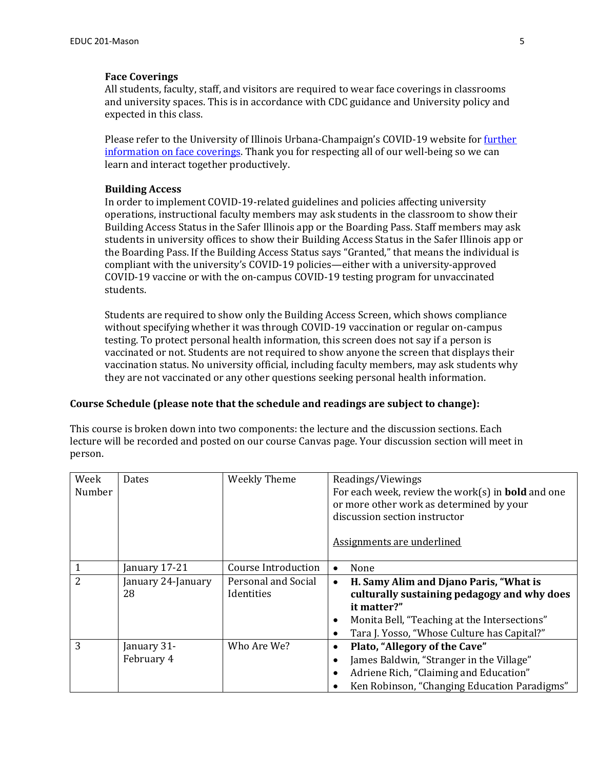## **Face Coverings**

All students, faculty, staff, and visitors are required to wear face coverings in classrooms and university spaces. This is in accordance with CDC guidance and University policy and expected in this class.

Please refer to the University of Illinois Urbana-Champaign's COVID-19 website for *further* [information on face coverings.](https://covid19.illinois.edu/health-and-support/face-coverings/) Thank you for respecting all of our well-being so we can learn and interact together productively.

## **Building Access**

In order to implement COVID-19-related guidelines and policies affecting university operations, instructional faculty members may ask students in the classroom to show their Building Access Status in the Safer Illinois app or the Boarding Pass. Staff members may ask students in university offices to show their Building Access Status in the Safer Illinois app or the Boarding Pass. If the Building Access Status says "Granted," that means the individual is compliant with the university's COVID-19 policies—either with a university-approved COVID-19 vaccine or with the on-campus COVID-19 testing program for unvaccinated students.

Students are required to show only the Building Access Screen, which shows compliance without specifying whether it was through COVID-19 vaccination or regular on-campus testing. To protect personal health information, this screen does not say if a person is vaccinated or not. Students are not required to show anyone the screen that displays their vaccination status. No university official, including faculty members, may ask students why they are not vaccinated or any other questions seeking personal health information.

### **Course Schedule (please note that the schedule and readings are subject to change):**

This course is broken down into two components: the lecture and the discussion sections. Each lecture will be recorded and posted on our course Canvas page. Your discussion section will meet in person.

| Week<br>Number | <b>Dates</b>              | <b>Weekly Theme</b>               | Readings/Viewings<br>For each week, review the work(s) in <b>bold</b> and one<br>or more other work as determined by your<br>discussion section instructor                                                                 |
|----------------|---------------------------|-----------------------------------|----------------------------------------------------------------------------------------------------------------------------------------------------------------------------------------------------------------------------|
|                |                           |                                   | Assignments are underlined                                                                                                                                                                                                 |
| 1              | January 17-21             | Course Introduction               | None<br>$\bullet$                                                                                                                                                                                                          |
| 2              | January 24-January<br>28  | Personal and Social<br>Identities | H. Samy Alim and Djano Paris, "What is<br>$\bullet$<br>culturally sustaining pedagogy and why does<br>it matter?"<br>Monita Bell, "Teaching at the Intersections"<br>٠<br>Tara J. Yosso, "Whose Culture has Capital?"<br>٠ |
| 3              | January 31-<br>February 4 | Who Are We?                       | Plato, "Allegory of the Cave"<br>James Baldwin, "Stranger in the Village"<br>Adriene Rich, "Claiming and Education"<br>Ken Robinson, "Changing Education Paradigms"<br>$\bullet$                                           |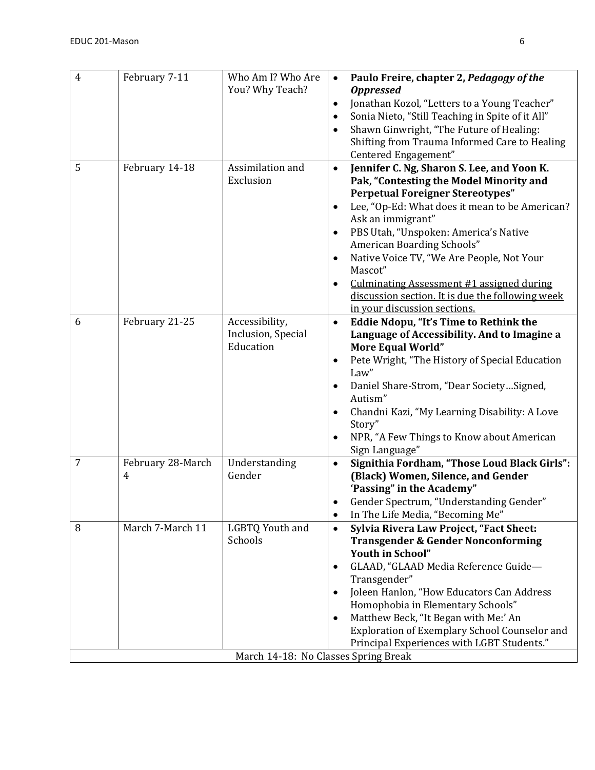| $\overline{4}$ | February 7-11                       | Who Am I? Who Are<br>You? Why Teach?                               | Paulo Freire, chapter 2, Pedagogy of the<br><b>Oppressed</b><br>Jonathan Kozol, "Letters to a Young Teacher"<br>$\bullet$<br>Sonia Nieto, "Still Teaching in Spite of it All"<br>$\bullet$<br>Shawn Ginwright, "The Future of Healing:<br>Shifting from Trauma Informed Care to Healing<br>Centered Engagement"                                                                                                                                                                                   |
|----------------|-------------------------------------|--------------------------------------------------------------------|---------------------------------------------------------------------------------------------------------------------------------------------------------------------------------------------------------------------------------------------------------------------------------------------------------------------------------------------------------------------------------------------------------------------------------------------------------------------------------------------------|
| 5              | February 14-18                      | Assimilation and<br>Exclusion                                      | Jennifer C. Ng, Sharon S. Lee, and Yoon K.<br>$\bullet$<br>Pak, "Contesting the Model Minority and<br><b>Perpetual Foreigner Stereotypes"</b><br>Lee, "Op-Ed: What does it mean to be American?<br>Ask an immigrant"<br>PBS Utah, "Unspoken: America's Native<br>American Boarding Schools"<br>Native Voice TV, "We Are People, Not Your<br>Mascot"<br>Culminating Assessment #1 assigned during<br>$\bullet$<br>discussion section. It is due the following week<br>in your discussion sections. |
| 6              | February 21-25                      | Accessibility,<br>Inclusion, Special<br>Education                  | Eddie Ndopu, "It's Time to Rethink the<br>$\bullet$<br>Language of Accessibility. And to Imagine a<br><b>More Equal World"</b><br>Pete Wright, "The History of Special Education<br>Law"<br>Daniel Share-Strom, "Dear SocietySigned,<br>Autism"<br>Chandni Kazi, "My Learning Disability: A Love<br>$\bullet$<br>Story"<br>NPR, "A Few Things to Know about American<br>Sign Language"                                                                                                            |
| $\overline{7}$ | February 28-March<br>$\overline{4}$ | Understanding<br>Gender                                            | Signithia Fordham, "Those Loud Black Girls":<br>$\bullet$<br>(Black) Women, Silence, and Gender<br>'Passing" in the Academy"<br>Gender Spectrum, "Understanding Gender"<br>In The Life Media, "Becoming Me"<br>$\bullet$                                                                                                                                                                                                                                                                          |
| 8              | March 7-March 11                    | LGBTQ Youth and<br>Schools<br>March 14-18: No Classes Spring Break | Sylvia Rivera Law Project, "Fact Sheet:<br>$\bullet$<br><b>Transgender &amp; Gender Nonconforming</b><br>Youth in School"<br>GLAAD, "GLAAD Media Reference Guide-<br>Transgender"<br>Joleen Hanlon, "How Educators Can Address<br>Homophobia in Elementary Schools"<br>Matthew Beck, "It Began with Me:' An<br>Exploration of Exemplary School Counselor and<br>Principal Experiences with LGBT Students."                                                                                        |